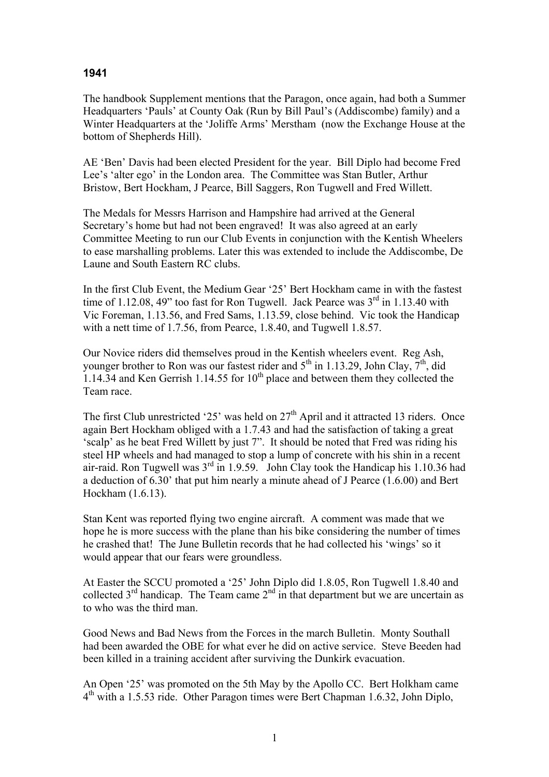## **1941**

The handbook Supplement mentions that the Paragon, once again, had both a Summer Headquarters 'Pauls' at County Oak (Run by Bill Paul's (Addiscombe) family) and a Winter Headquarters at the 'Joliffe Arms' Merstham (now the Exchange House at the bottom of Shepherds Hill).

AE 'Ben' Davis had been elected President for the year. Bill Diplo had become Fred Lee's 'alter ego' in the London area. The Committee was Stan Butler, Arthur Bristow, Bert Hockham, J Pearce, Bill Saggers, Ron Tugwell and Fred Willett.

The Medals for Messrs Harrison and Hampshire had arrived at the General Secretary's home but had not been engraved! It was also agreed at an early Committee Meeting to run our Club Events in conjunction with the Kentish Wheelers to ease marshalling problems. Later this was extended to include the Addiscombe, De Laune and South Eastern RC clubs.

In the first Club Event, the Medium Gear '25' Bert Hockham came in with the fastest time of 1.12.08, 49" too fast for Ron Tugwell. Jack Pearce was  $3<sup>rd</sup>$  in 1.13.40 with Vic Foreman, 1.13.56, and Fred Sams, 1.13.59, close behind. Vic took the Handicap with a nett time of 1.7.56, from Pearce, 1.8.40, and Tugwell 1.8.57.

Our Novice riders did themselves proud in the Kentish wheelers event. Reg Ash, younger brother to Ron was our fastest rider and  $5<sup>th</sup>$  in 1.13.29, John Clay,  $7<sup>th</sup>$ , did 1.14.34 and Ken Gerrish 1.14.55 for  $10<sup>th</sup>$  place and between them they collected the Team race.

The first Club unrestricted '25' was held on  $27<sup>th</sup>$  April and it attracted 13 riders. Once again Bert Hockham obliged with a 1.7.43 and had the satisfaction of taking a great 'scalp' as he beat Fred Willett by just 7". It should be noted that Fred was riding his steel HP wheels and had managed to stop a lump of concrete with his shin in a recent air-raid. Ron Tugwell was  $3<sup>rd</sup>$  in 1.9.59. John Clay took the Handicap his 1.10.36 had a deduction of 6.30' that put him nearly a minute ahead of J Pearce (1.6.00) and Bert Hockham (1.6.13).

Stan Kent was reported flying two engine aircraft. A comment was made that we hope he is more success with the plane than his bike considering the number of times he crashed that! The June Bulletin records that he had collected his 'wings' so it would appear that our fears were groundless.

At Easter the SCCU promoted a '25' John Diplo did 1.8.05, Ron Tugwell 1.8.40 and collected  $3<sup>rd</sup>$  handicap. The Team came  $2<sup>nd</sup>$  in that department but we are uncertain as to who was the third man.

Good News and Bad News from the Forces in the march Bulletin. Monty Southall had been awarded the OBE for what ever he did on active service. Steve Beeden had been killed in a training accident after surviving the Dunkirk evacuation.

An Open '25' was promoted on the 5th May by the Apollo CC. Bert Holkham came 4th with a 1.5.53 ride. Other Paragon times were Bert Chapman 1.6.32, John Diplo,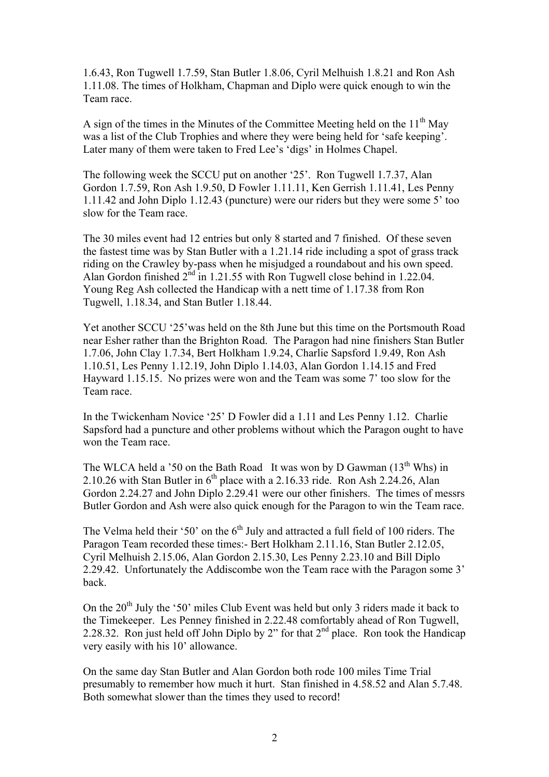1.6.43, Ron Tugwell 1.7.59, Stan Butler 1.8.06, Cyril Melhuish 1.8.21 and Ron Ash 1.11.08. The times of Holkham, Chapman and Diplo were quick enough to win the Team race.

A sign of the times in the Minutes of the Committee Meeting held on the  $11<sup>th</sup>$  May was a list of the Club Trophies and where they were being held for 'safe keeping'. Later many of them were taken to Fred Lee's 'digs' in Holmes Chapel.

The following week the SCCU put on another '25'. Ron Tugwell 1.7.37, Alan Gordon 1.7.59, Ron Ash 1.9.50, D Fowler 1.11.11, Ken Gerrish 1.11.41, Les Penny 1.11.42 and John Diplo 1.12.43 (puncture) were our riders but they were some 5' too slow for the Team race.

The 30 miles event had 12 entries but only 8 started and 7 finished. Of these seven the fastest time was by Stan Butler with a 1.21.14 ride including a spot of grass track riding on the Crawley by-pass when he misjudged a roundabout and his own speed. Alan Gordon finished  $2<sup>nd</sup>$  in 1.21.55 with Ron Tugwell close behind in 1.22.04. Young Reg Ash collected the Handicap with a nett time of 1.17.38 from Ron Tugwell, 1.18.34, and Stan Butler 1.18.44.

Yet another SCCU '25'was held on the 8th June but this time on the Portsmouth Road near Esher rather than the Brighton Road. The Paragon had nine finishers Stan Butler 1.7.06, John Clay 1.7.34, Bert Holkham 1.9.24, Charlie Sapsford 1.9.49, Ron Ash 1.10.51, Les Penny 1.12.19, John Diplo 1.14.03, Alan Gordon 1.14.15 and Fred Hayward 1.15.15. No prizes were won and the Team was some 7' too slow for the Team race.

In the Twickenham Novice '25' D Fowler did a 1.11 and Les Penny 1.12. Charlie Sapsford had a puncture and other problems without which the Paragon ought to have won the Team race.

The WLCA held a '50 on the Bath Road It was won by D Gawman  $(13<sup>th</sup>$  Whs) in 2.10.26 with Stan Butler in  $6<sup>th</sup>$  place with a 2.16.33 ride. Ron Ash 2.24.26, Alan Gordon 2.24.27 and John Diplo 2.29.41 were our other finishers. The times of messrs Butler Gordon and Ash were also quick enough for the Paragon to win the Team race.

The Velma held their '50' on the  $6<sup>th</sup>$  July and attracted a full field of 100 riders. The Paragon Team recorded these times:- Bert Holkham 2.11.16, Stan Butler 2.12.05, Cyril Melhuish 2.15.06, Alan Gordon 2.15.30, Les Penny 2.23.10 and Bill Diplo 2.29.42. Unfortunately the Addiscombe won the Team race with the Paragon some 3' back.

On the 20<sup>th</sup> July the '50' miles Club Event was held but only 3 riders made it back to the Timekeeper. Les Penney finished in 2.22.48 comfortably ahead of Ron Tugwell, 2.28.32. Ron just held off John Diplo by 2" for that  $2<sup>nd</sup>$  place. Ron took the Handicap very easily with his 10' allowance.

On the same day Stan Butler and Alan Gordon both rode 100 miles Time Trial presumably to remember how much it hurt. Stan finished in 4.58.52 and Alan 5.7.48. Both somewhat slower than the times they used to record!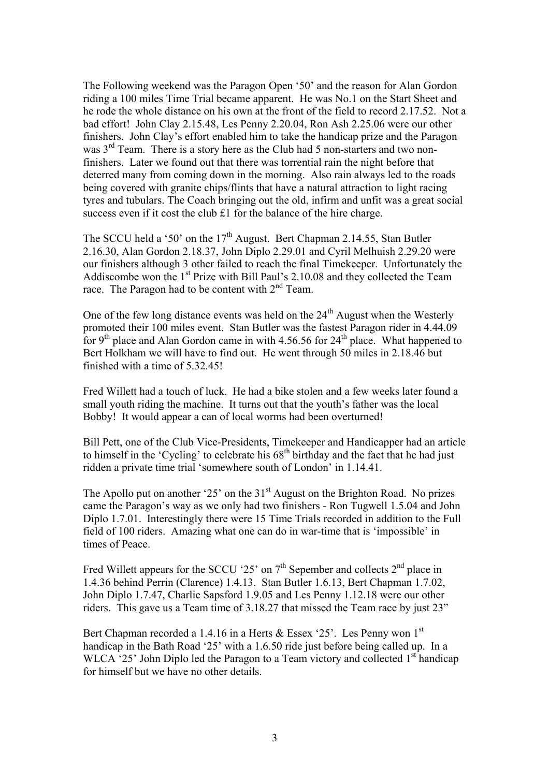The Following weekend was the Paragon Open '50' and the reason for Alan Gordon riding a 100 miles Time Trial became apparent. He was No.1 on the Start Sheet and he rode the whole distance on his own at the front of the field to record 2.17.52. Not a bad effort! John Clay 2.15.48, Les Penny 2.20.04, Ron Ash 2.25.06 were our other finishers. John Clay's effort enabled him to take the handicap prize and the Paragon was  $3<sup>rd</sup>$  Team. There is a story here as the Club had 5 non-starters and two nonfinishers. Later we found out that there was torrential rain the night before that deterred many from coming down in the morning. Also rain always led to the roads being covered with granite chips/flints that have a natural attraction to light racing tyres and tubulars. The Coach bringing out the old, infirm and unfit was a great social success even if it cost the club £1 for the balance of the hire charge.

The SCCU held a '50' on the  $17<sup>th</sup>$  August. Bert Chapman 2.14.55, Stan Butler 2.16.30, Alan Gordon 2.18.37, John Diplo 2.29.01 and Cyril Melhuish 2.29.20 were our finishers although 3 other failed to reach the final Timekeeper. Unfortunately the Addiscombe won the 1<sup>st</sup> Prize with Bill Paul's 2.10.08 and they collected the Team race. The Paragon had to be content with  $2<sup>nd</sup>$  Team.

One of the few long distance events was held on the  $24<sup>th</sup>$  August when the Westerly promoted their 100 miles event. Stan Butler was the fastest Paragon rider in 4.44.09 for 9<sup>th</sup> place and Alan Gordon came in with  $4.56.56$  for  $24<sup>th</sup>$  place. What happened to Bert Holkham we will have to find out. He went through 50 miles in 2.18.46 but finished with a time of 5.32.45!

Fred Willett had a touch of luck. He had a bike stolen and a few weeks later found a small youth riding the machine. It turns out that the youth's father was the local Bobby! It would appear a can of local worms had been overturned!

Bill Pett, one of the Club Vice-Presidents, Timekeeper and Handicapper had an article to himself in the 'Cycling' to celebrate his  $68<sup>th</sup>$  birthday and the fact that he had just ridden a private time trial 'somewhere south of London' in 1.14.41.

The Apollo put on another '25' on the  $31<sup>st</sup>$  August on the Brighton Road. No prizes came the Paragon's way as we only had two finishers - Ron Tugwell 1.5.04 and John Diplo 1.7.01. Interestingly there were 15 Time Trials recorded in addition to the Full field of 100 riders. Amazing what one can do in war-time that is 'impossible' in times of Peace.

Fred Willett appears for the SCCU '25' on  $7<sup>th</sup>$  Sepember and collects  $2<sup>nd</sup>$  place in 1.4.36 behind Perrin (Clarence) 1.4.13. Stan Butler 1.6.13, Bert Chapman 1.7.02, John Diplo 1.7.47, Charlie Sapsford 1.9.05 and Les Penny 1.12.18 were our other riders. This gave us a Team time of 3.18.27 that missed the Team race by just 23"

Bert Chapman recorded a 1.4.16 in a Herts & Essex '25'. Les Penny won 1<sup>st</sup> handicap in the Bath Road '25' with a 1.6.50 ride just before being called up. In a WLCA '25' John Diplo led the Paragon to a Team victory and collected  $1<sup>st</sup>$  handicap for himself but we have no other details.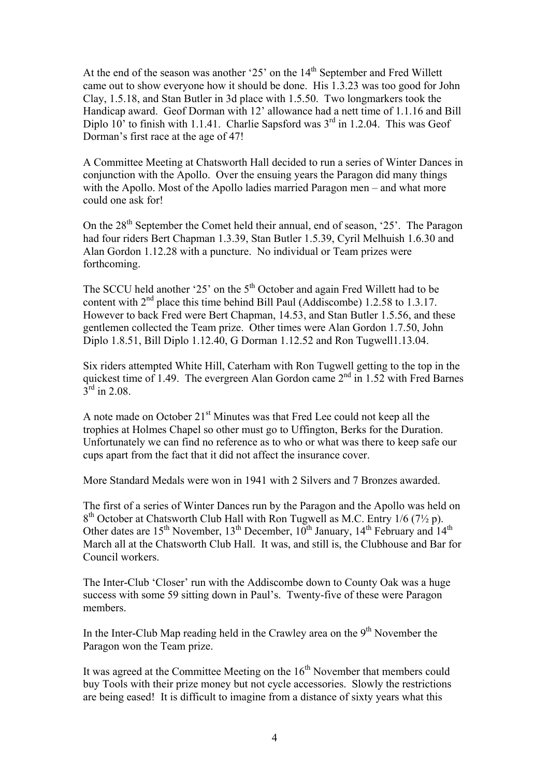At the end of the season was another '25' on the  $14<sup>th</sup>$  September and Fred Willett came out to show everyone how it should be done. His 1.3.23 was too good for John Clay, 1.5.18, and Stan Butler in 3d place with 1.5.50. Two longmarkers took the Handicap award. Geof Dorman with 12' allowance had a nett time of 1.1.16 and Bill Diplo  $10'$  to finish with 1.1.41. Charlie Sapsford was  $3<sup>rd</sup>$  in 1.2.04. This was Geof Dorman's first race at the age of 47!

A Committee Meeting at Chatsworth Hall decided to run a series of Winter Dances in conjunction with the Apollo. Over the ensuing years the Paragon did many things with the Apollo. Most of the Apollo ladies married Paragon men – and what more could one ask for!

On the 28<sup>th</sup> September the Comet held their annual, end of season, '25'. The Paragon had four riders Bert Chapman 1.3.39, Stan Butler 1.5.39, Cyril Melhuish 1.6.30 and Alan Gordon 1.12.28 with a puncture. No individual or Team prizes were forthcoming.

The SCCU held another '25' on the 5<sup>th</sup> October and again Fred Willett had to be content with  $2<sup>nd</sup>$  place this time behind Bill Paul (Addiscombe) 1.2.58 to 1.3.17. However to back Fred were Bert Chapman, 14.53, and Stan Butler 1.5.56, and these gentlemen collected the Team prize. Other times were Alan Gordon 1.7.50, John Diplo 1.8.51, Bill Diplo 1.12.40, G Dorman 1.12.52 and Ron Tugwell1.13.04.

Six riders attempted White Hill, Caterham with Ron Tugwell getting to the top in the quickest time of 1.49. The evergreen Alan Gordon came 2nd in 1.52 with Fred Barnes  $3^{\text{rd}}$  in 2.08.

A note made on October 21<sup>st</sup> Minutes was that Fred Lee could not keep all the trophies at Holmes Chapel so other must go to Uffington, Berks for the Duration. Unfortunately we can find no reference as to who or what was there to keep safe our cups apart from the fact that it did not affect the insurance cover.

More Standard Medals were won in 1941 with 2 Silvers and 7 Bronzes awarded.

The first of a series of Winter Dances run by the Paragon and the Apollo was held on  $8<sup>th</sup>$  October at Chatsworth Club Hall with Ron Tugwell as M.C. Entry 1/6 (7<sup>1</sup>/<sub>2</sub> p). Other dates are  $15^{th}$  November,  $13^{th}$  December,  $10^{th}$  January,  $14^{th}$  February and  $14^{th}$ March all at the Chatsworth Club Hall. It was, and still is, the Clubhouse and Bar for Council workers.

The Inter-Club 'Closer' run with the Addiscombe down to County Oak was a huge success with some 59 sitting down in Paul's. Twenty-five of these were Paragon members.

In the Inter-Club Map reading held in the Crawley area on the 9<sup>th</sup> November the Paragon won the Team prize.

It was agreed at the Committee Meeting on the 16<sup>th</sup> November that members could buy Tools with their prize money but not cycle accessories. Slowly the restrictions are being eased! It is difficult to imagine from a distance of sixty years what this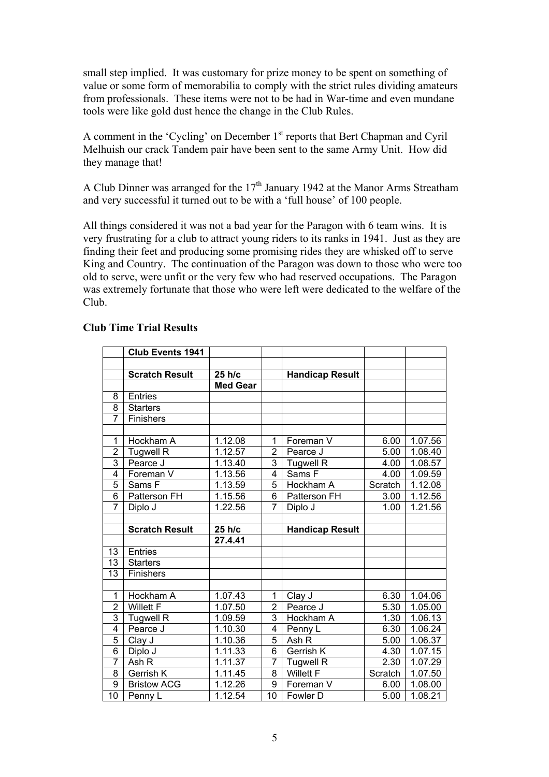small step implied. It was customary for prize money to be spent on something of value or some form of memorabilia to comply with the strict rules dividing amateurs from professionals. These items were not to be had in War-time and even mundane tools were like gold dust hence the change in the Club Rules.

A comment in the 'Cycling' on December 1<sup>st</sup> reports that Bert Chapman and Cyril Melhuish our crack Tandem pair have been sent to the same Army Unit. How did they manage that!

A Club Dinner was arranged for the  $17<sup>th</sup>$  January 1942 at the Manor Arms Streatham and very successful it turned out to be with a 'full house' of 100 people.

All things considered it was not a bad year for the Paragon with 6 team wins. It is very frustrating for a club to attract young riders to its ranks in 1941. Just as they are finding their feet and producing some promising rides they are whisked off to serve King and Country. The continuation of the Paragon was down to those who were too old to serve, were unfit or the very few who had reserved occupations. The Paragon was extremely fortunate that those who were left were dedicated to the welfare of the Club.

|                      | Club Events 1941      |                 |                |                        |         |         |
|----------------------|-----------------------|-----------------|----------------|------------------------|---------|---------|
|                      |                       |                 |                |                        |         |         |
|                      | <b>Scratch Result</b> | 25 h/c          |                | <b>Handicap Result</b> |         |         |
|                      |                       | <b>Med Gear</b> |                |                        |         |         |
| 8                    | <b>Entries</b>        |                 |                |                        |         |         |
| 8                    | <b>Starters</b>       |                 |                |                        |         |         |
| $\overline{7}$       | Finishers             |                 |                |                        |         |         |
|                      |                       |                 |                |                        |         |         |
| 1                    | Hockham A             | 1.12.08         | 1              | Foreman V              | 6.00    | 1.07.56 |
| $\overline{2}$       | <b>Tugwell R</b>      | 1.12.57         | $\overline{2}$ | Pearce J               | 5.00    | 1.08.40 |
| 3                    | Pearce J              | 1.13.40         | 3              | <b>Tugwell R</b>       | 4.00    | 1.08.57 |
| 4                    | Foreman V             | 1.13.56         | $\overline{4}$ | Sams F                 | 4.00    | 1.09.59 |
| 5                    | Sams F                | 1.13.59         | 5              | Hockham A              | Scratch | 1.12.08 |
| 6                    | <b>Patterson FH</b>   | 1.15.56         | 6              | Patterson FH           | 3.00    | 1.12.56 |
| $\overline{7}$       | Diplo J               | 1.22.56         | $\overline{7}$ | Diplo J                | 1.00    | 1.21.56 |
|                      |                       |                 |                |                        |         |         |
|                      |                       |                 |                |                        |         |         |
|                      | <b>Scratch Result</b> | 25 h/c          |                | <b>Handicap Result</b> |         |         |
|                      |                       | 27.4.41         |                |                        |         |         |
| 13                   | <b>Entries</b>        |                 |                |                        |         |         |
| 13                   | <b>Starters</b>       |                 |                |                        |         |         |
| 13                   | Finishers             |                 |                |                        |         |         |
|                      |                       |                 |                |                        |         |         |
| $\mathbf{1}$         | Hockham A             | 1.07.43         | 1              | Clay J                 | 6.30    | 1.04.06 |
| $\overline{2}$       | <b>Willett F</b>      | 1.07.50         | $\overline{2}$ | Pearce J               | 5.30    | 1.05.00 |
| $\overline{3}$       | Tugwell R             | 1.09.59         | 3              | Hockham A              | 1.30    | 1.06.13 |
| 4                    | Pearce J              | 1.10.30         | 4              | Penny L                | 6.30    | 1.06.24 |
| $\overline{5}$       | Clay J                | 1.10.36         | 5              | Ash R                  | 5.00    | 1.06.37 |
| $\overline{6}$       | Diplo J               | 1.11.33         | 6              | Gerrish K              | 4.30    | 1.07.15 |
| $\overline{7}$       | Ash R                 | 1.11.37         | $\overline{7}$ | <b>Tugwell R</b>       | 2.30    | 1.07.29 |
| 8                    | Gerrish K             | 1.11.45         | 8              | <b>Willett F</b>       | Scratch | 1.07.50 |
| $\overline{9}$<br>10 | <b>Bristow ACG</b>    | 1.12.26         | 9              | Foreman V              | 6.00    | 1.08.00 |

## **Club Time Trial Results**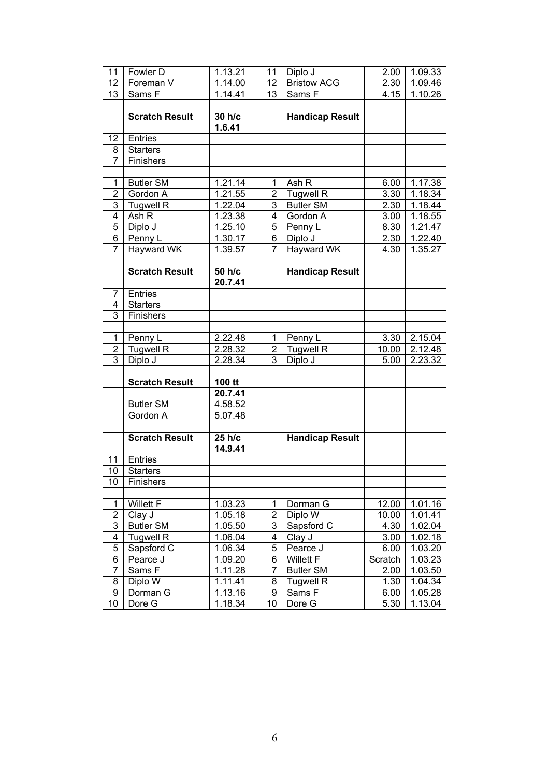| 11              | Fowler D              | 1.13.21              | 11                      | Diplo J                | 2.00    | 1.09.33              |
|-----------------|-----------------------|----------------------|-------------------------|------------------------|---------|----------------------|
| 12              | Foreman V             | 1.14.00              | 12                      | <b>Bristow ACG</b>     | 2.30    | 1.09.46              |
| 13              | Sams F                | 1.14.41              | 13                      | Sams F                 | 4.15    | 1.10.26              |
|                 |                       |                      |                         |                        |         |                      |
|                 | <b>Scratch Result</b> | 30 h/c               |                         | <b>Handicap Result</b> |         |                      |
|                 |                       | 1.6.41               |                         |                        |         |                      |
| 12              | Entries               |                      |                         |                        |         |                      |
| 8               | <b>Starters</b>       |                      |                         |                        |         |                      |
| $\overline{7}$  | Finishers             |                      |                         |                        |         |                      |
|                 |                       |                      |                         |                        |         |                      |
| 1               | <b>Butler SM</b>      | 1.21.14              | 1                       | Ash R                  | 6.00    | 1.17.38              |
| $\overline{2}$  | Gordon A              | 1.21.55              | 2                       | <b>Tugwell R</b>       | 3.30    | $1.\overline{18.34}$ |
| 3               | <b>Tugwell R</b>      | $1.\overline{22.04}$ | 3                       | <b>Butler SM</b>       | 2.30    | 1.18.44              |
| $\overline{4}$  | Ash R                 | 1.23.38              | $\overline{4}$          | Gordon A               | 3.00    | 1.18.55              |
| 5               | Diplo J               | 1.25.10              | 5                       | Penny L                | 8.30    | 1.21.47              |
| $\overline{6}$  | Penny L               | 1.30.17              | $\overline{6}$          | Diplo J                | 2.30    | 1.22.40              |
| 7               | <b>Hayward WK</b>     | 1.39.57              | $\overline{7}$          | <b>Hayward WK</b>      | 4.30    | 1.35.27              |
|                 |                       |                      |                         |                        |         |                      |
|                 | <b>Scratch Result</b> | 50 h/c               |                         | <b>Handicap Result</b> |         |                      |
|                 |                       | 20.7.41              |                         |                        |         |                      |
| 7               | <b>Entries</b>        |                      |                         |                        |         |                      |
| 4               | <b>Starters</b>       |                      |                         |                        |         |                      |
| 3               | Finishers             |                      |                         |                        |         |                      |
|                 |                       |                      |                         |                        |         |                      |
| $\mathbf{1}$    | Penny L               | 2.22.48              | 1                       | Penny L                | 3.30    | $2.\overline{15.04}$ |
| $\overline{2}$  | <b>Tugwell R</b>      | 2.28.32              | $\overline{\mathbf{c}}$ | <b>Tugwell R</b>       | 10.00   | 2.12.48              |
| $\overline{3}$  | Diplo J               | 2.28.34              | $\overline{3}$          | Diplo J                | 5.00    | 2.23.32              |
|                 |                       |                      |                         |                        |         |                      |
|                 | <b>Scratch Result</b> | 100 tt               |                         |                        |         |                      |
|                 |                       | 20.7.41              |                         |                        |         |                      |
|                 | <b>Butler SM</b>      | 4.58.52              |                         |                        |         |                      |
|                 | Gordon A              | 5.07.48              |                         |                        |         |                      |
|                 |                       |                      |                         |                        |         |                      |
|                 | <b>Scratch Result</b> | 25 h/c               |                         | <b>Handicap Result</b> |         |                      |
|                 |                       | 14.9.41              |                         |                        |         |                      |
| 11              | <b>Entries</b>        |                      |                         |                        |         |                      |
| 10              | <b>Starters</b>       |                      |                         |                        |         |                      |
| $\overline{10}$ | Finishers             |                      |                         |                        |         |                      |
|                 |                       |                      |                         |                        |         |                      |
| $\mathbf{1}$    | <b>Willett F</b>      | 1.03.23              | 1                       | Dorman G               | 12.00   | 1.01.16              |
| $\overline{2}$  | Clay J                | 1.05.18              | $\overline{c}$          | Diplo W                | 10.00   | 1.01.41              |
| $\overline{3}$  | <b>Butler SM</b>      | 1.05.50              | $\overline{3}$          | Sapsford C             | 4.30    | 1.02.04              |
| $\overline{4}$  | <b>Tugwell R</b>      | 1.06.04              | $\overline{4}$          | Clay J                 | 3.00    | 1.02.18              |
| 5               | Sapsford C            | 1.06.34              | 5                       | Pearce J               | 6.00    | 1.03.20              |
| 6               | Pearce J              | 1.09.20              | $\overline{6}$          | <b>Willett F</b>       | Scratch | 1.03.23              |
| 7               | Sams <sub>F</sub>     | 1.11.28              | $\overline{7}$          | <b>Butler SM</b>       | 2.00    | 1.03.50              |
| 8               | Diplo W               | 1.11.41              | 8                       | <b>Tugwell R</b>       | 1.30    | 1.04.34              |
| 9               | Dorman G              | 1.13.16              | $\overline{9}$          | Sams F                 | 6.00    | 1.05.28              |
| 10              | Dore G                | 1.18.34              | 10                      | Dore G                 | 5.30    | 1.13.04              |